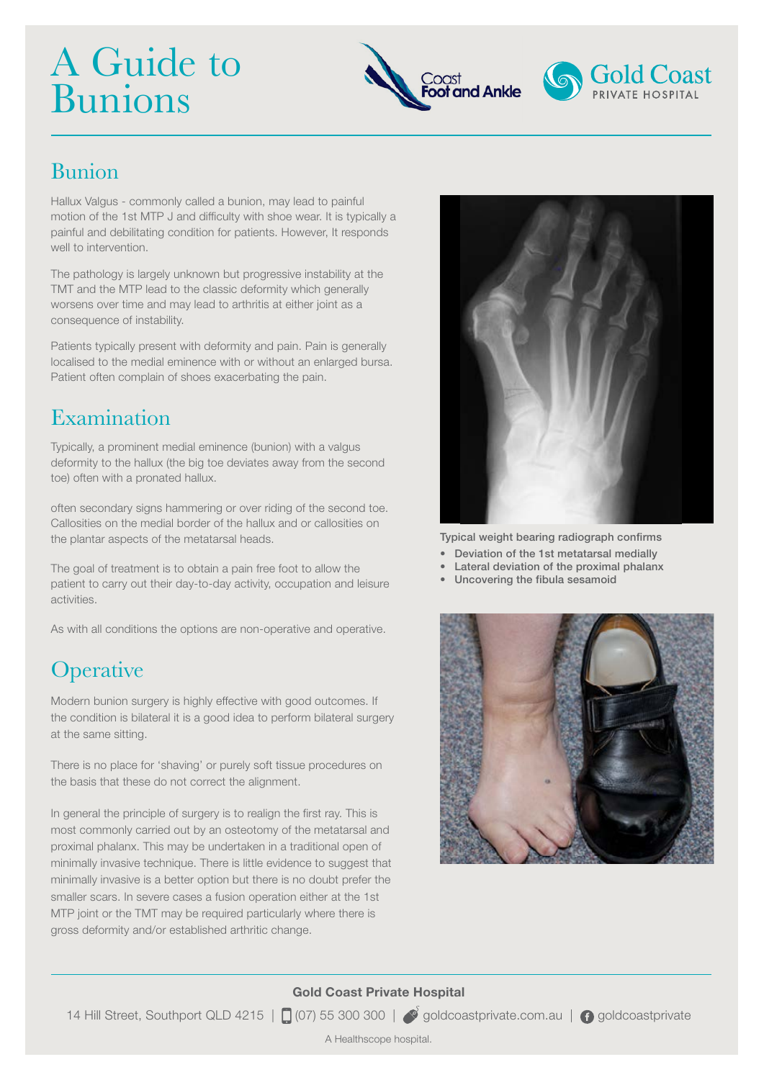# A Guide to Bunions





#### Bunion

Hallux Valgus - commonly called a bunion, may lead to painful motion of the 1st MTP J and difficulty with shoe wear. It is typically a painful and debilitating condition for patients. However, It responds well to intervention.

The pathology is largely unknown but progressive instability at the TMT and the MTP lead to the classic deformity which generally worsens over time and may lead to arthritis at either joint as a consequence of instability.

Patients typically present with deformity and pain. Pain is generally localised to the medial eminence with or without an enlarged bursa. Patient often complain of shoes exacerbating the pain.

#### Examination

Typically, a prominent medial eminence (bunion) with a valgus deformity to the hallux (the big toe deviates away from the second toe) often with a pronated hallux.

often secondary signs hammering or over riding of the second toe. Callosities on the medial border of the hallux and or callosities on the plantar aspects of the metatarsal heads.

The goal of treatment is to obtain a pain free foot to allow the patient to carry out their day-to-day activity, occupation and leisure activities.

As with all conditions the options are non-operative and operative.

## **Operative**

Modern bunion surgery is highly effective with good outcomes. If the condition is bilateral it is a good idea to perform bilateral surgery at the same sitting.

There is no place for 'shaving' or purely soft tissue procedures on the basis that these do not correct the alignment.

In general the principle of surgery is to realign the first ray. This is most commonly carried out by an osteotomy of the metatarsal and proximal phalanx. This may be undertaken in a traditional open of minimally invasive technique. There is little evidence to suggest that minimally invasive is a better option but there is no doubt prefer the smaller scars. In severe cases a fusion operation either at the 1st MTP joint or the TMT may be required particularly where there is gross deformity and/or established arthritic change.



Typical weight bearing radiograph confirms

- • Deviation of the 1st metatarsal medially
- Lateral deviation of the proximal phalanx
- • Uncovering the fibula sesamoid



#### **Gold Coast Private Hospital**

14 Hill Street, Southport QLD 4215 |  $\Box$  (07) 55 300 300 |  $\Box$  goldcoastprivate.com.au |  $\Omega$  goldcoastprivate

A Healthscope hospital.